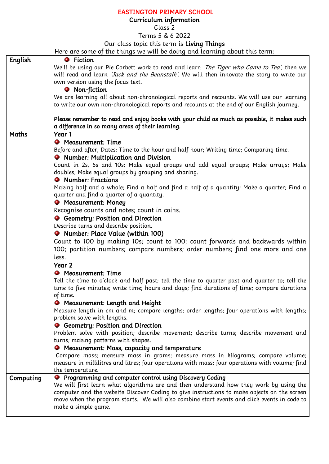## EASTINGTON PRIMARY SCHOOL

## Curriculum information

Class 2

Terms 5 & 6 2022

## Our class topic this term is Living Things

Here are some of the things we will be doing and learning about this term:

|           | note are some of the things we will be abing and icariling about this term.                        |
|-----------|----------------------------------------------------------------------------------------------------|
| English   | <b>O</b> Fiction                                                                                   |
|           | We'll be using our Pie Corbett work to read and learn 'The Tiger who Came to Tea', then we         |
|           | will read and learn <i>'Jack and the Beanstalk'</i> . We will then innovate the story to write our |
|           | own version using the focus text.                                                                  |
|           | <b>O</b> Non-fiction                                                                               |
|           | We are learning all about non-chronological reports and recounts. We will use our learning         |
|           | to write our own non-chronological reports and recounts at the end of our English journey.         |
|           |                                                                                                    |
|           | Please remember to read and enjoy books with your child as much as possible, it makes such         |
|           | a difference in so many areas of their learning.                                                   |
| Maths     | Year 1                                                                                             |
|           |                                                                                                    |
|           | <b>•</b> Measurement: Time                                                                         |
|           | Before and after; Dates; Time to the hour and half hour; Writing time; Comparing time.             |
|           | • Number: Multiplication and Division                                                              |
|           | Count in 2s, 5s and 10s; Make equal groups and add equal groups; Make arrays; Make                 |
|           | doubles; Make equal groups by grouping and sharing.                                                |
|           | • Number: Fractions                                                                                |
|           | Making half and a whole; Find a half and find a half of a quantity; Make a quarter; Find a         |
|           | quarter and find a quarter of a quantity.                                                          |
|           | <b>•</b> Measurement: Money                                                                        |
|           | Recognise counts and notes; count in coins.                                                        |
|           | • Geometry: Position and Direction                                                                 |
|           | Describe turns and describe position.                                                              |
|           | • Number: Place Value (within 100)                                                                 |
|           |                                                                                                    |
|           | Count to 100 by making 10s; count to 100; count forwards and backwards within                      |
|           | 100; partition numbers; compare numbers; order numbers; find one more and one                      |
|           | less.                                                                                              |
|           | Year 2                                                                                             |
|           | <b>•</b> Measurement: Time                                                                         |
|           | Tell the time to o'clock and half past; tell the time to quarter past and quarter to; tell the     |
|           | time to five minutes; write time; hours and days; find durations of time; compare durations        |
|           | of time.                                                                                           |
|           | <b>O</b> Measurement: Length and Height                                                            |
|           | Measure length in cm and m; compare lengths; order lengths; four operations with lengths;          |
|           | problem solve with lengths.                                                                        |
|           | <b>O</b> Geometry: Position and Direction                                                          |
|           | Problem solve with position; describe movement; describe turns; describe movement and              |
|           | turns; making patterns with shapes.                                                                |
|           | <b>O</b> Measurement: Mass, capacity and temperature                                               |
|           | Compare mass; measure mass in grams; measure mass in kilograms; compare volume;                    |
|           | measure in millilitres and litres; four operations with mass; four operations with volume; find    |
|           | the temperature.                                                                                   |
|           | <b>O</b> Programming and computer control using Discovery Coding                                   |
| Computing | We will first learn what algorithms are and then understand how they work by using the             |
|           |                                                                                                    |
|           | computer and the website Discover Coding to give instructions to make objects on the screen        |
|           | move when the program starts. We will also combine start events and click events in code to        |
|           | make a simple game.                                                                                |